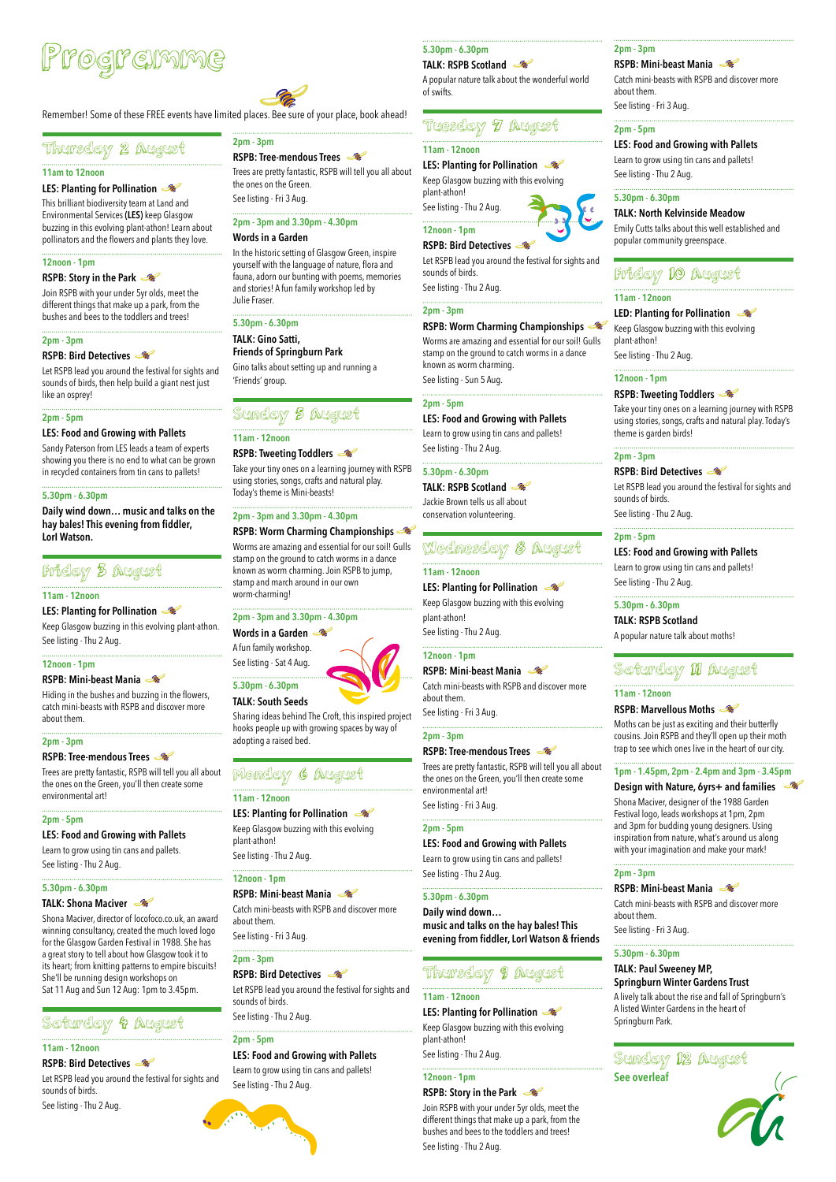## Thursday 2 August

#### **11am to 12noon**

#### **LES: Planting for Pollination**

This brilliant biodiversity team at Land and Environmental Services **(LES)** keep Glasgow buzzing in this evolving plant-athon! Learn about pollinators and the flowers and plants they love.

#### **12noon - 1pm**

#### **RSPB: Story in the Park**

Join RSPB with your under 5yr olds, meet the different things that make up a park, from the bushes and bees to the toddlers and trees!

#### **2pm - 3pm**

#### **RSPB: Bird Detectives**

Let RSPB lead you around the festival for sights and sounds of birds, then help build a giant nest just like an osprey!

#### **2pm - 5pm**

#### **LES: Food and Growing with Pallets**

Sandy Paterson from LES leads a team of experts showing you there is no end to what can be grown in recycled containers from tin cans to pallets!

#### **5.30pm - 6.30pm**

**Daily wind down… music and talks on the hay bales! This evening from fiddler, LorI Watson.**

## Friday 3 August

#### **11am - 12noon**

**LES: Planting for Pollination** 

Keep Glasgow buzzing in this evolving plant-athon. See listing - Thu 2 Aug.

#### **12noon - 1pm**

#### **RSPB: Mini-beast Mania**

Hiding in the bushes and buzzing in the flowers, catch mini-beasts with RSPB and discover more about them.

#### **2pm - 3pm**

#### **RSPB: Tree-mendous Trees**

Trees are pretty fantastic, RSPB will tell you all about the ones on the Green, you'll then create some environmental art!

#### **2pm - 5pm**

## **LES: Food and Growing with Pallets**

Learn to grow using tin cans and pallets. See listing - Thu 2 Aug.

#### **5.30pm - 6.30pm**

### **TALK: Shona Maciver**

Shona Maciver, director of locofoco.co.uk, an award winning consultancy, created the much loved logo for the Glasgow Garden Festival in 1988. She has a great story to tell about how Glasgow took it to its heart; from knitting patterns to empire biscuits! She'll be running design workshops on Sat 11 Aug and Sun 12 Aug: 1pm to 3.45pm.

## Saturday 4 August

#### **11am - 12noon**

#### **RSPB: Bird Detectives**

Let RSPB lead you around the festival for sights and sounds of birds.

See listing - Thu 2 Aug.

**2pm - 3pm**

**RSPB: Tree-mendous Trees** 

Trees are pretty fantastic, RSPB will tell you all about

the ones on the Green. See listing - Fri 3 Aug.

**2pm - 3pm and 3.30pm - 4.30pm**

**Words in a Garden** 

In the historic setting of Glasgow Green, inspire yourself with the language of nature, flora and fauna, adorn our bunting with poems, memories and stories! A fun family workshop led by

Julie Fraser.

**5.30pm - 6.30pm TALK: Gino Satti,** 

**Friends of Springburn Park**

Gino talks about setting up and running a

'Friends' group.

Sunday 5 August

**11am - 12noon** 

**RSPB: Tweeting Toddlers** 

Take your tiny ones on a learning journey with RSPB using stories, songs, crafts and natural play.

Today's theme is Mini-beasts!

**2pm - 3pm and 3.30pm - 4.30pm**

**RSPB: Worm Charming Championships**  Worms are amazing and essential for our soil! Gulls stamp on the ground to catch worms in a dance known as worm charming. Join RSPB to jump,

stamp and march around in our own

worm-charming!

**2pm - 3pm and 3.30pm - 4.30pm**

**Words in a Garden**  A fun family workshop. See listing - Sat 4 Aug.

**5.30pm - 6.30pm TALK: South Seeds** 

Sharing ideas behind The Croft, this inspired project hooks people up with growing spaces by way of

adopting a raised bed.

Monday 6 August

**11am - 12noon**

**LES: Planting for Pollination**  Keep Glasgow buzzing with this evolving

plant-athon!

See listing - Thu 2 Aug.

**12noon - 1pm**

#### **RSPB: Mini-beast Mania**

Catch mini-beasts with RSPB and discover more about them.

See listing - Fri 3 Aug.

#### **2pm - 3pm**

#### **RSPB: Bird Detectives**

Let RSPB lead you around the festival for sights and sounds of birds. See listing - Thu 2 Aug.

#### **2pm - 5pm**

**LES: Food and Growing with Pallets** Learn to grow using tin cans and pallets! See listing - Thu 2 Aug.



#### **5.30pm - 6.30pm**

#### **TALK: RSPB Scotland**

A popular nature talk about the wonderful world of swifts.

### Tuesday 7 August

#### **11am - 12noon**

**LES: Planting for Pollination** 

Keep Glasgow buzzing with this evolving plant-athon!

See listing - Thu 2 Aug.

### **12noon - 1pm**

**RSPB: Bird Detectives** 

Let RSPB lead you around the festival for sights and sounds of birds.

See listing - Thu 2 Aug.

#### **2pm - 3pm**

#### **RSPB: Worm Charming Championships**

Worms are amazing and essential for our soil! Gulls stamp on the ground to catch worms in a dance known as worm charming. See listing - Sun 5 Aug.

**2pm - 5pm**

#### **LES: Food and Growing with Pallets** Learn to grow using tin cans and pallets!

See listing - Thu 2 Aug.

#### **5.30pm - 6.30pm**

**TALK: RSPB Scotland**  Jackie Brown tells us all about

conservation volunteering.

## Wednesday 8 August

#### **11am - 12noon**

**LES: Planting for Pollination**  Keep Glasgow buzzing with this evolving plant-athon! See listing - Thu 2 Aug.

#### **12noon - 1pm**

#### **RSPB: Mini-beast Mania**

Catch mini-beasts with RSPB and discover more about them.

See listing - Fri 3 Aug.

#### **2pm - 3pm**

#### **RSPB: Tree-mendous Trees**

Trees are pretty fantastic, RSPB will tell you all about the ones on the Green, you'll then create some environmental art! See listing - Fri 3 Aug.

**2pm - 5pm**

#### **LES: Food and Growing with Pallets**

Learn to grow using tin cans and pallets! See listing - Thu 2 Aug.

#### **5.30pm - 6.30pm**

#### **Daily wind down… music and talks on the hay bales! This evening from fiddler, LorI Watson & friends**

Thursday 9 August

### **11am - 12noon**

#### **LES: Planting for Pollination**

Keep Glasgow buzzing with this evolving plant-athon!

See listing - Thu 2 Aug.

#### **12noon - 1pm**

#### **RSPB: Story in the Park**

Join RSPB with your under 5yr olds, meet the different things that make up a park, from the bushes and bees to the toddlers and trees! See listing - Thu 2 Aug.

#### **2pm - 3pm**

#### **RSPB: Mini-beast Mania**

Catch mini-beasts with RSPB and discover more about them.

See listing - Fri 3 Aug.

#### **2pm - 5pm**

**LES: Food and Growing with Pallets**

Learn to grow using tin cans and pallets! See listing - Thu 2 Aug.

#### **5.30pm - 6.30pm**

#### **TALK: North Kelvinside Meadow**

Emily Cutts talks about this well established and popular community greenspace.

## Friday 10 August

#### **11am - 12noon**

#### **LED: Planting for Pollination**

Keep Glasgow buzzing with this evolving plant-athon! See listing - Thu 2 Aug.

#### **12noon - 1pm**

#### **RSPB: Tweeting Toddlers**

Take your tiny ones on a learning journey with RSPB using stories, songs, crafts and natural play. Today's theme is garden birds!

#### **2pm - 3pm**

#### **RSPB: Bird Detectives**

Let RSPB lead you around the festival for sights and sounds of birds. See listing - Thu 2 Aug.

#### **2pm - 5pm**

**LES: Food and Growing with Pallets** Learn to grow using tin cans and pallets! See listing - Thu 2 Aug.

#### **5.30pm - 6.30pm**

**TALK: RSPB Scotland**  A popular nature talk about moths!

## Saturday 11 August

#### **11am - 12noon**

#### **RSPB: Marvellous Moths**

Moths can be just as exciting and their butterfly cousins. Join RSPB and they'll open up their moth trap to see which ones live in the heart of our city.

#### **1pm - 1.45pm, 2pm - 2.4pm and 3pm - 3.45pm**

#### **Design with Nature, 6yrs+ and families**

Shona Maciver, designer of the 1988 Garden Festival logo, leads workshops at 1pm, 2pm and 3pm for budding young designers. Using inspiration from nature, what's around us along with your imagination and make your mark!

**2pm - 3pm RSPB: Mini-beast Mania** 

Catch mini-beasts with RSPB and discover more about them.

See listing - Fri 3 Aug.

#### **5.30pm - 6.30pm**

#### **TALK: Paul Sweeney MP, Springburn Winter Gardens Trust**

A lively talk about the rise and fall of Springburn's A listed Winter Gardens in the heart of Springburn Park.

## Programme



Remember! Some of these FREE events have limited places. Bee sure of your place, book ahead!

Sunday 12 August **See overleaf**